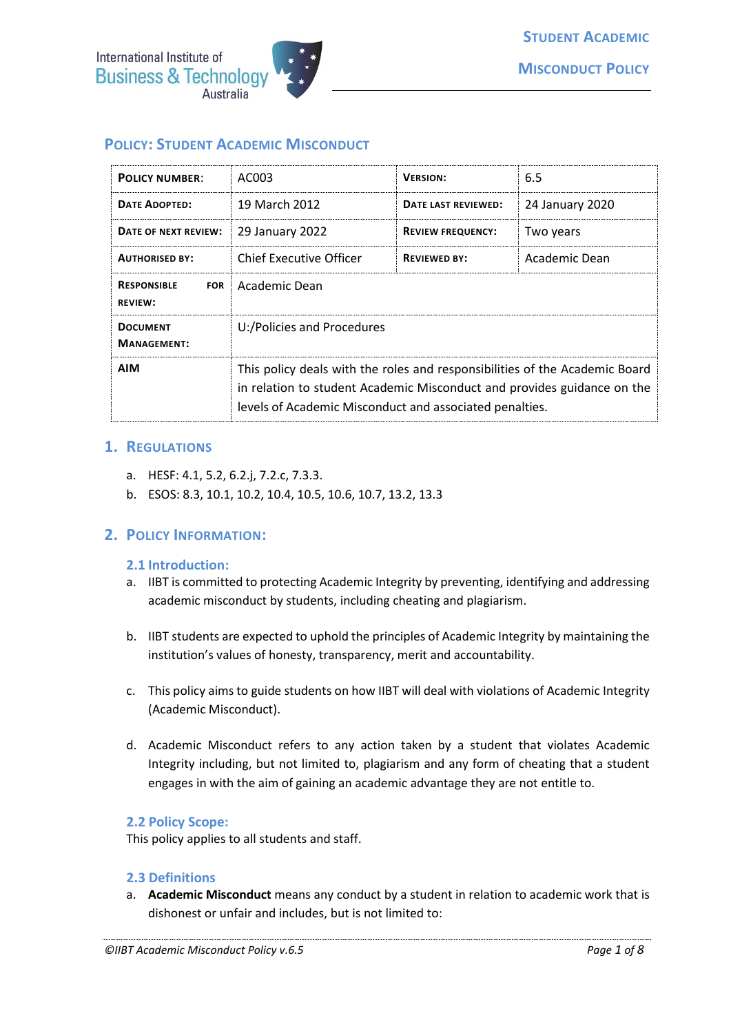

# **POLICY: STUDENT ACADEMIC MISCONDUCT**

| <b>POLICY NUMBER:</b>                              | AC003                                                                                                                                                                                                             | <b>VERSION:</b>          | 6.5             |
|----------------------------------------------------|-------------------------------------------------------------------------------------------------------------------------------------------------------------------------------------------------------------------|--------------------------|-----------------|
| <b>DATE ADOPTED:</b>                               | 19 March 2012                                                                                                                                                                                                     | DATE LAST REVIEWED:      | 24 January 2020 |
| DATE OF NEXT REVIEW:                               | 29 January 2022                                                                                                                                                                                                   | <b>REVIEW FREQUENCY:</b> | Two years       |
| <b>AUTHORISED BY:</b>                              | Chief Executive Officer                                                                                                                                                                                           | <b>REVIEWED BY:</b>      | Academic Dean   |
| <b>RESPONSIBLE</b><br><b>FOR</b><br><b>REVIEW:</b> | Academic Dean                                                                                                                                                                                                     |                          |                 |
| <b>DOCUMENT</b><br><b>MANAGEMENT:</b>              | U:/Policies and Procedures                                                                                                                                                                                        |                          |                 |
| <b>AIM</b>                                         | This policy deals with the roles and responsibilities of the Academic Board<br>in relation to student Academic Misconduct and provides guidance on the<br>levels of Academic Misconduct and associated penalties. |                          |                 |

#### **1. REGULATIONS**

- a. HESF: 4.1, 5.2, 6.2.j, 7.2.c, 7.3.3.
- b. ESOS: 8.3, 10.1, 10.2, 10.4, 10.5, 10.6, 10.7, 13.2, 13.3

#### **2. POLICY INFORMATION:**

#### **2.1 Introduction:**

- a. IIBT is committed to protecting Academic Integrity by preventing, identifying and addressing academic misconduct by students, including cheating and plagiarism.
- b. IIBT students are expected to uphold the principles of Academic Integrity by maintaining the institution's values of honesty, transparency, merit and accountability.
- c. This policy aims to guide students on how IIBT will deal with violations of Academic Integrity (Academic Misconduct).
- d. Academic Misconduct refers to any action taken by a student that violates Academic Integrity including, but not limited to, plagiarism and any form of cheating that a student engages in with the aim of gaining an academic advantage they are not entitle to.

#### **2.2 Policy Scope:**

This policy applies to all students and staff.

#### **2.3 Definitions**

a. **Academic Misconduct** means any conduct by a student in relation to academic work that is dishonest or unfair and includes, but is not limited to: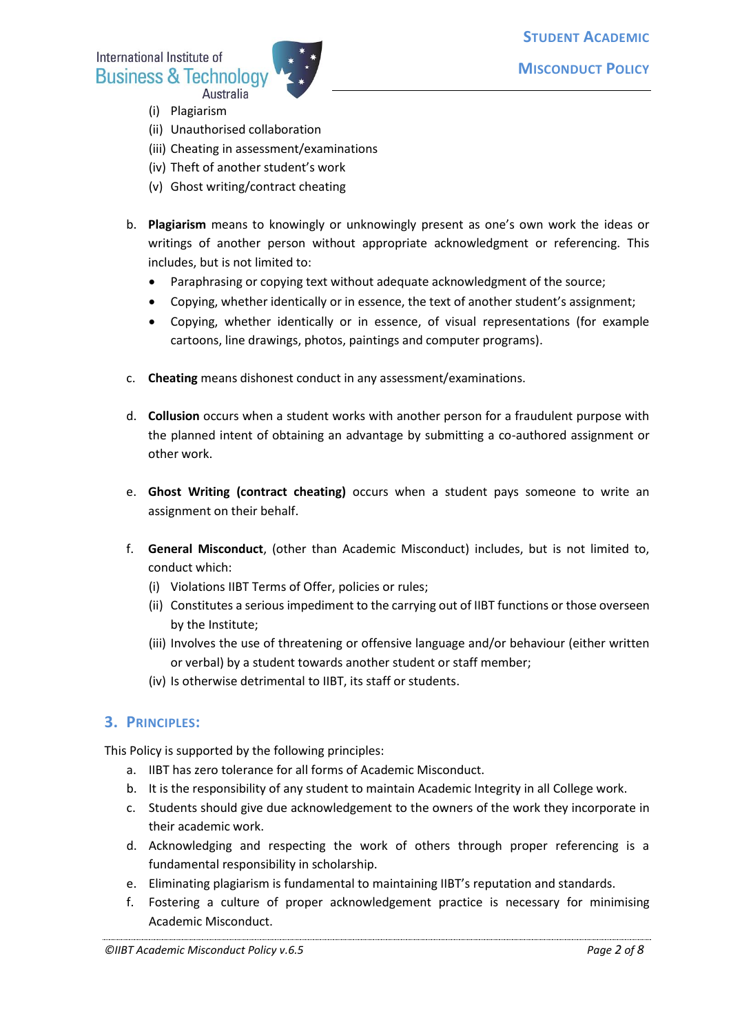International Institute of **Business & Technology** Australia



- (i) Plagiarism
- (ii) Unauthorised collaboration
- (iii) Cheating in assessment/examinations
- (iv) Theft of another student's work
- (v) Ghost writing/contract cheating
- b. **Plagiarism** means to knowingly or unknowingly present as one's own work the ideas or writings of another person without appropriate acknowledgment or referencing. This includes, but is not limited to:
	- Paraphrasing or copying text without adequate acknowledgment of the source;
	- Copying, whether identically or in essence, the text of another student's assignment;
	- Copying, whether identically or in essence, of visual representations (for example cartoons, line drawings, photos, paintings and computer programs).
- c. **Cheating** means dishonest conduct in any assessment/examinations.
- d. **Collusion** occurs when a student works with another person for a fraudulent purpose with the planned intent of obtaining an advantage by submitting a co-authored assignment or other work.
- e. **Ghost Writing (contract cheating)** occurs when a student pays someone to write an assignment on their behalf.
- f. **General Misconduct**, (other than Academic Misconduct) includes, but is not limited to, conduct which:
	- (i) Violations IIBT Terms of Offer, policies or rules;
	- (ii) Constitutes a serious impediment to the carrying out of IIBT functions or those overseen by the Institute;
	- (iii) Involves the use of threatening or offensive language and/or behaviour (either written or verbal) by a student towards another student or staff member;
	- (iv) Is otherwise detrimental to IIBT, its staff or students.

## **3. PRINCIPLES:**

This Policy is supported by the following principles:

- a. IIBT has zero tolerance for all forms of Academic Misconduct.
- b. It is the responsibility of any student to maintain Academic Integrity in all College work.
- c. Students should give due acknowledgement to the owners of the work they incorporate in their academic work.
- d. Acknowledging and respecting the work of others through proper referencing is a fundamental responsibility in scholarship.
- e. Eliminating plagiarism is fundamental to maintaining IIBT's reputation and standards.
- f. Fostering a culture of proper acknowledgement practice is necessary for minimising Academic Misconduct.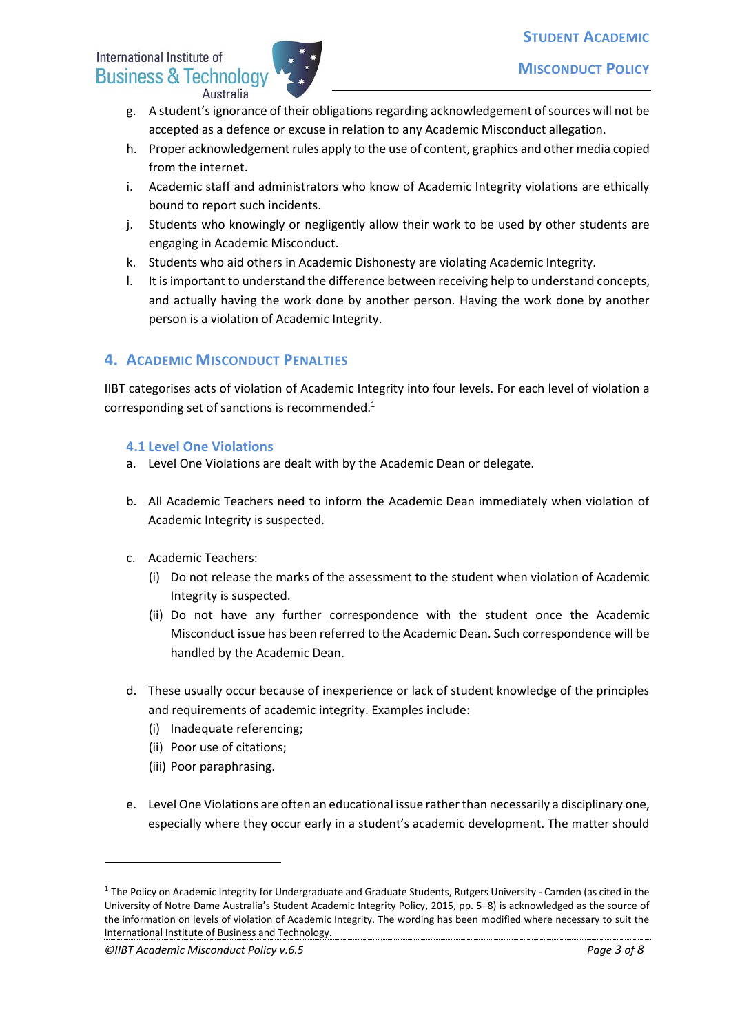# International Institute of **Business & Technology** Australia



- g. A student's ignorance of their obligations regarding acknowledgement of sources will not be accepted as a defence or excuse in relation to any Academic Misconduct allegation.
- h. Proper acknowledgement rules apply to the use of content, graphics and other media copied from the internet.
- i. Academic staff and administrators who know of Academic Integrity violations are ethically bound to report such incidents.
- j. Students who knowingly or negligently allow their work to be used by other students are engaging in Academic Misconduct.
- k. Students who aid others in Academic Dishonesty are violating Academic Integrity.
- l. It is important to understand the difference between receiving help to understand concepts, and actually having the work done by another person. Having the work done by another person is a violation of Academic Integrity.

# **4. ACADEMIC MISCONDUCT PENALTIES**

IIBT categorises acts of violation of Academic Integrity into four levels. For each level of violation a corresponding set of sanctions is recommended.<sup>1</sup>

## **4.1 Level One Violations**

- a. Level One Violations are dealt with by the Academic Dean or delegate.
- b. All Academic Teachers need to inform the Academic Dean immediately when violation of Academic Integrity is suspected.
- c. Academic Teachers:
	- (i) Do not release the marks of the assessment to the student when violation of Academic Integrity is suspected.
	- (ii) Do not have any further correspondence with the student once the Academic Misconduct issue has been referred to the Academic Dean. Such correspondence will be handled by the Academic Dean.
- d. These usually occur because of inexperience or lack of student knowledge of the principles and requirements of academic integrity. Examples include:
	- (i) Inadequate referencing;
	- (ii) Poor use of citations;
	- (iii) Poor paraphrasing.
- e. Level One Violations are often an educational issue rather than necessarily a disciplinary one, especially where they occur early in a student's academic development. The matter should

**.** 

 $1$  The Policy on Academic Integrity for Undergraduate and Graduate Students, Rutgers University - Camden (as cited in the University of Notre Dame Australia's Student Academic Integrity Policy, 2015, pp. 5–8) is acknowledged as the source of the information on levels of violation of Academic Integrity. The wording has been modified where necessary to suit the International Institute of Business and Technology.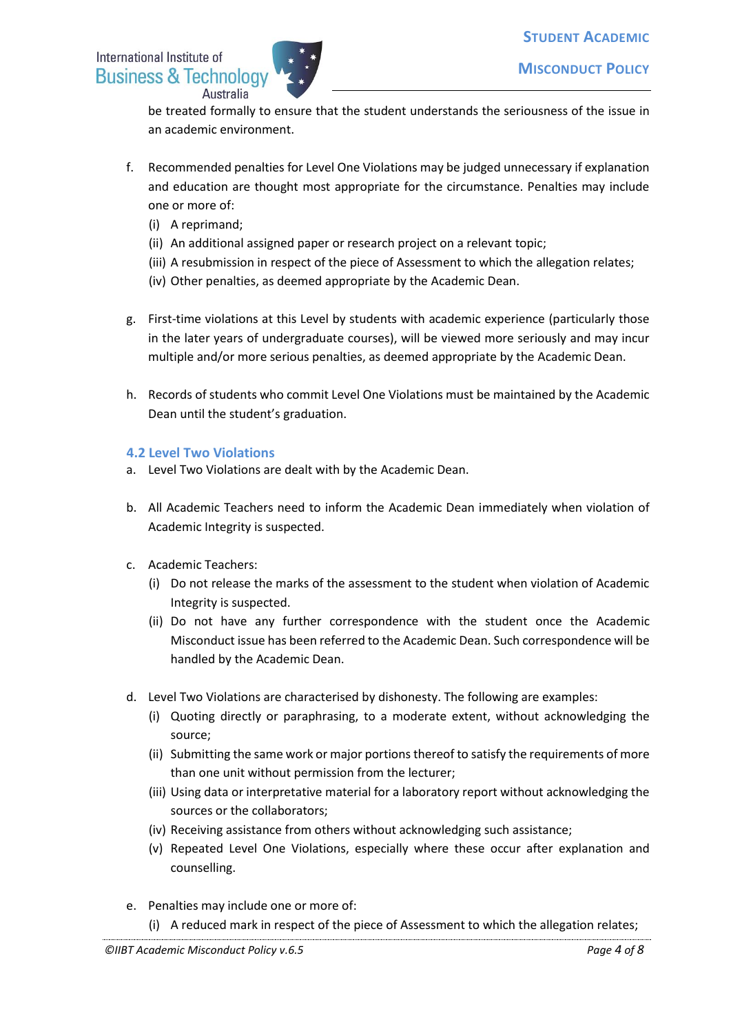

be treated formally to ensure that the student understands the seriousness of the issue in an academic environment.

- f. Recommended penalties for Level One Violations may be judged unnecessary if explanation and education are thought most appropriate for the circumstance. Penalties may include one or more of:
	- (i) A reprimand;
	- (ii) An additional assigned paper or research project on a relevant topic;
	- (iii) A resubmission in respect of the piece of Assessment to which the allegation relates;
	- (iv) Other penalties, as deemed appropriate by the Academic Dean.
- g. First-time violations at this Level by students with academic experience (particularly those in the later years of undergraduate courses), will be viewed more seriously and may incur multiple and/or more serious penalties, as deemed appropriate by the Academic Dean.
- h. Records of students who commit Level One Violations must be maintained by the Academic Dean until the student's graduation.

## **4.2 Level Two Violations**

- a. Level Two Violations are dealt with by the Academic Dean.
- b. All Academic Teachers need to inform the Academic Dean immediately when violation of Academic Integrity is suspected.
- c. Academic Teachers:
	- (i) Do not release the marks of the assessment to the student when violation of Academic Integrity is suspected.
	- (ii) Do not have any further correspondence with the student once the Academic Misconduct issue has been referred to the Academic Dean. Such correspondence will be handled by the Academic Dean.
- d. Level Two Violations are characterised by dishonesty. The following are examples:
	- (i) Quoting directly or paraphrasing, to a moderate extent, without acknowledging the source;
	- (ii) Submitting the same work or major portions thereof to satisfy the requirements of more than one unit without permission from the lecturer;
	- (iii) Using data or interpretative material for a laboratory report without acknowledging the sources or the collaborators;
	- (iv) Receiving assistance from others without acknowledging such assistance;
	- (v) Repeated Level One Violations, especially where these occur after explanation and counselling.
- e. Penalties may include one or more of:
	- (i) A reduced mark in respect of the piece of Assessment to which the allegation relates;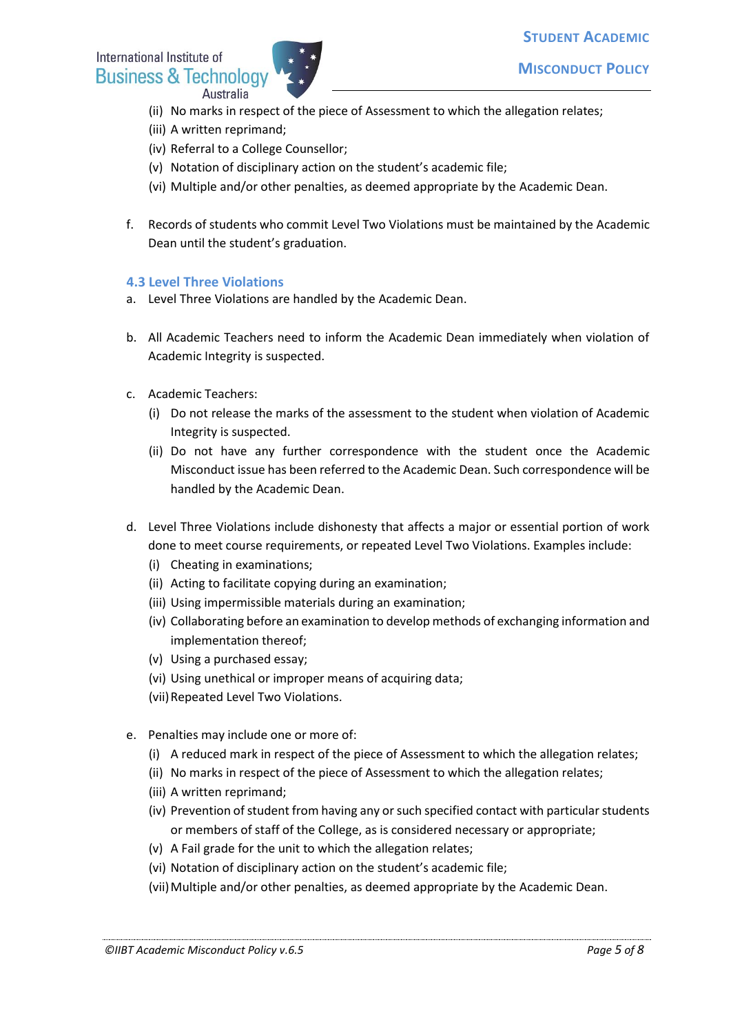# International Institute of **Business & Technology** Australia



- **MISCONDUCT POLICY**
- (ii) No marks in respect of the piece of Assessment to which the allegation relates;
- (iii) A written reprimand;
- (iv) Referral to a College Counsellor;
- (v) Notation of disciplinary action on the student's academic file;
- (vi) Multiple and/or other penalties, as deemed appropriate by the Academic Dean.
- f. Records of students who commit Level Two Violations must be maintained by the Academic Dean until the student's graduation.

#### **4.3 Level Three Violations**

- a. Level Three Violations are handled by the Academic Dean.
- b. All Academic Teachers need to inform the Academic Dean immediately when violation of Academic Integrity is suspected.
- c. Academic Teachers:
	- (i) Do not release the marks of the assessment to the student when violation of Academic Integrity is suspected.
	- (ii) Do not have any further correspondence with the student once the Academic Misconduct issue has been referred to the Academic Dean. Such correspondence will be handled by the Academic Dean.
- d. Level Three Violations include dishonesty that affects a major or essential portion of work done to meet course requirements, or repeated Level Two Violations. Examples include:
	- (i) Cheating in examinations;
	- (ii) Acting to facilitate copying during an examination;
	- (iii) Using impermissible materials during an examination;
	- (iv) Collaborating before an examination to develop methods of exchanging information and implementation thereof;
	- (v) Using a purchased essay;
	- (vi) Using unethical or improper means of acquiring data;
	- (vii)Repeated Level Two Violations.
- e. Penalties may include one or more of:
	- (i) A reduced mark in respect of the piece of Assessment to which the allegation relates;
	- (ii) No marks in respect of the piece of Assessment to which the allegation relates;
	- (iii) A written reprimand;
	- (iv) Prevention of student from having any or such specified contact with particular students or members of staff of the College, as is considered necessary or appropriate;
	- (v) A Fail grade for the unit to which the allegation relates;
	- (vi) Notation of disciplinary action on the student's academic file;
	- (vii) Multiple and/or other penalties, as deemed appropriate by the Academic Dean.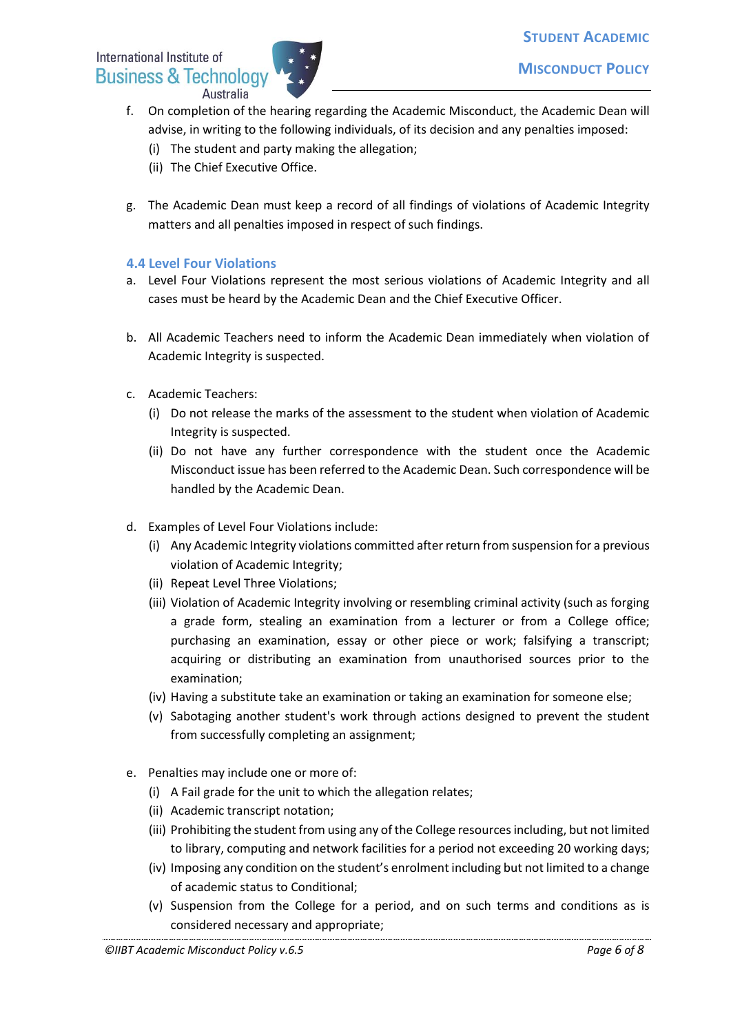

- f. On completion of the hearing regarding the Academic Misconduct, the Academic Dean will advise, in writing to the following individuals, of its decision and any penalties imposed:
	- (i) The student and party making the allegation;
	- (ii) The Chief Executive Office.
- g. The Academic Dean must keep a record of all findings of violations of Academic Integrity matters and all penalties imposed in respect of such findings.

# **4.4 Level Four Violations**

- a. Level Four Violations represent the most serious violations of Academic Integrity and all cases must be heard by the Academic Dean and the Chief Executive Officer.
- b. All Academic Teachers need to inform the Academic Dean immediately when violation of Academic Integrity is suspected.
- c. Academic Teachers:
	- (i) Do not release the marks of the assessment to the student when violation of Academic Integrity is suspected.
	- (ii) Do not have any further correspondence with the student once the Academic Misconduct issue has been referred to the Academic Dean. Such correspondence will be handled by the Academic Dean.
- d. Examples of Level Four Violations include:
	- (i) Any Academic Integrity violations committed after return from suspension for a previous violation of Academic Integrity;
	- (ii) Repeat Level Three Violations;
	- (iii) Violation of Academic Integrity involving or resembling criminal activity (such as forging a grade form, stealing an examination from a lecturer or from a College office; purchasing an examination, essay or other piece or work; falsifying a transcript; acquiring or distributing an examination from unauthorised sources prior to the examination;
	- (iv) Having a substitute take an examination or taking an examination for someone else;
	- (v) Sabotaging another student's work through actions designed to prevent the student from successfully completing an assignment;
- e. Penalties may include one or more of:
	- (i) A Fail grade for the unit to which the allegation relates;
	- (ii) Academic transcript notation;
	- (iii) Prohibiting the student from using any of the College resources including, but not limited to library, computing and network facilities for a period not exceeding 20 working days;
	- (iv) Imposing any condition on the student's enrolment including but not limited to a change of academic status to Conditional;
	- (v) Suspension from the College for a period, and on such terms and conditions as is considered necessary and appropriate;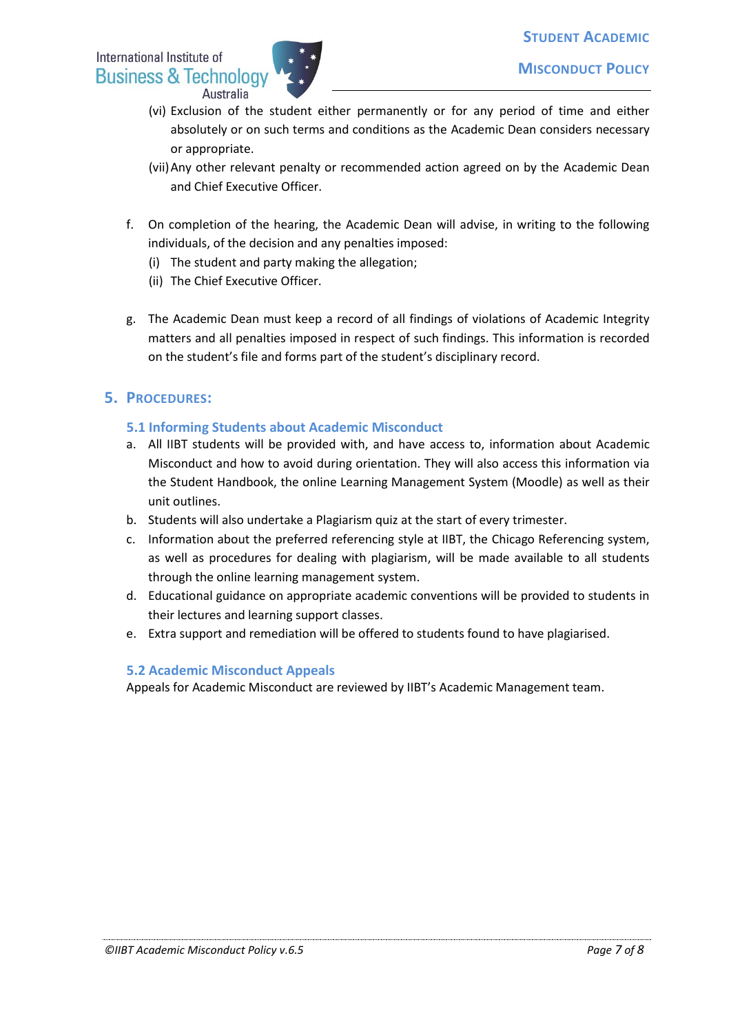

- (vi) Exclusion of the student either permanently or for any period of time and either absolutely or on such terms and conditions as the Academic Dean considers necessary or appropriate.
- (vii)Any other relevant penalty or recommended action agreed on by the Academic Dean and Chief Executive Officer.
- f. On completion of the hearing, the Academic Dean will advise, in writing to the following individuals, of the decision and any penalties imposed:
	- (i) The student and party making the allegation;
	- (ii) The Chief Executive Officer.
- g. The Academic Dean must keep a record of all findings of violations of Academic Integrity matters and all penalties imposed in respect of such findings. This information is recorded on the student's file and forms part of the student's disciplinary record.

# **5. PROCEDURES:**

### **5.1 Informing Students about Academic Misconduct**

- a. All IIBT students will be provided with, and have access to, information about Academic Misconduct and how to avoid during orientation. They will also access this information via the Student Handbook, the online Learning Management System (Moodle) as well as their unit outlines.
- b. Students will also undertake a Plagiarism quiz at the start of every trimester.
- c. Information about the preferred referencing style at IIBT, the Chicago Referencing system, as well as procedures for dealing with plagiarism, will be made available to all students through the online learning management system.
- d. Educational guidance on appropriate academic conventions will be provided to students in their lectures and learning support classes.
- e. Extra support and remediation will be offered to students found to have plagiarised.

#### **5.2 Academic Misconduct Appeals**

Appeals for Academic Misconduct are reviewed by IIBT's Academic Management team.